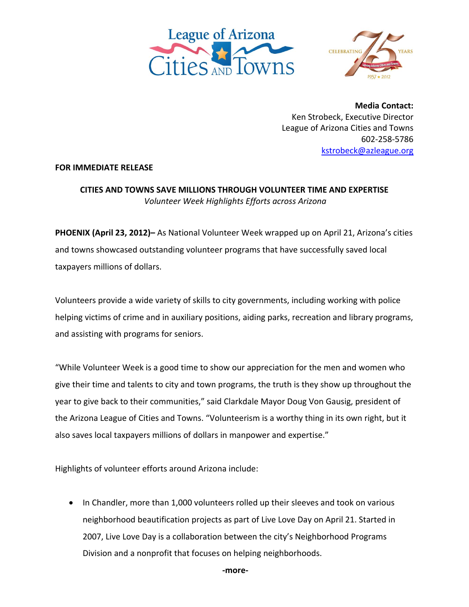



**Media Contact:** Ken Strobeck, Executive Director League of Arizona Cities and Towns 602‐258‐5786 kstrobeck@azleague.org

## **FOR IMMEDIATE RELEASE**

## **CITIES AND TOWNS SAVE MILLIONS THROUGH VOLUNTEER TIME AND EXPERTISE** *Volunteer Week Highlights Efforts across Arizona*

**PHOENIX (April 23, 2012)–** As National Volunteer Week wrapped up on April 21, Arizona's cities and towns showcased outstanding volunteer programs that have successfully saved local taxpayers millions of dollars.

Volunteers provide a wide variety of skills to city governments, including working with police helping victims of crime and in auxiliary positions, aiding parks, recreation and library programs, and assisting with programs for seniors.

"While Volunteer Week is a good time to show our appreciation for the men and women who give their time and talents to city and town programs, the truth is they show up throughout the year to give back to their communities," said Clarkdale Mayor Doug Von Gausig, president of the Arizona League of Cities and Towns. "Volunteerism is a worthy thing in its own right, but it also saves local taxpayers millions of dollars in manpower and expertise."

Highlights of volunteer efforts around Arizona include:

• In Chandler, more than 1,000 volunteers rolled up their sleeves and took on various neighborhood beautification projects as part of Live Love Day on April 21. Started in 2007, Live Love Day is a collaboration between the city's Neighborhood Programs Division and a nonprofit that focuses on helping neighborhoods.

 **‐more‐**